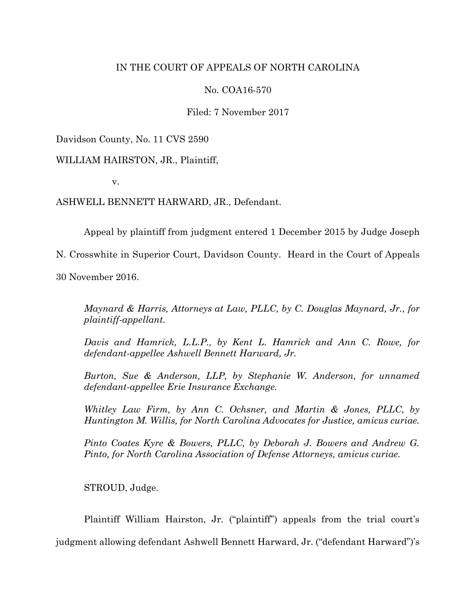## IN THE COURT OF APPEALS OF NORTH CAROLINA

## No. COA16-570

Filed: 7 November 2017

Davidson County, No. 11 CVS 2590

WILLIAM HAIRSTON, JR., Plaintiff,

v.

ASHWELL BENNETT HARWARD, JR., Defendant.

Appeal by plaintiff from judgment entered 1 December 2015 by Judge Joseph

N. Crosswhite in Superior Court, Davidson County. Heard in the Court of Appeals

30 November 2016.

*Maynard & Harris, Attorneys at Law, PLLC, by C. Douglas Maynard, Jr., for plaintiff-appellant.*

*Davis and Hamrick, L.L.P., by Kent L. Hamrick and Ann C. Rowe, for defendant-appellee Ashwell Bennett Harward, Jr.*

*Burton, Sue & Anderson, LLP, by Stephanie W. Anderson, for unnamed defendant-appellee Erie Insurance Exchange.*

*Whitley Law Firm, by Ann C. Ochsner, and Martin & Jones, PLLC, by Huntington M. Willis, for North Carolina Advocates for Justice, amicus curiae.*

*Pinto Coates Kyre & Bowers, PLLC, by Deborah J. Bowers and Andrew G. Pinto, for North Carolina Association of Defense Attorneys, amicus curiae.*

STROUD, Judge.

Plaintiff William Hairston, Jr. ("plaintiff") appeals from the trial court's

judgment allowing defendant Ashwell Bennett Harward, Jr. ("defendant Harward")'s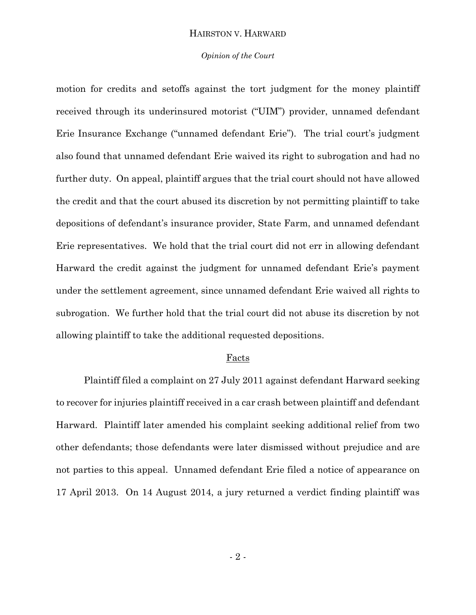#### *Opinion of the Court*

motion for credits and setoffs against the tort judgment for the money plaintiff received through its underinsured motorist ("UIM") provider, unnamed defendant Erie Insurance Exchange ("unnamed defendant Erie"). The trial court's judgment also found that unnamed defendant Erie waived its right to subrogation and had no further duty. On appeal, plaintiff argues that the trial court should not have allowed the credit and that the court abused its discretion by not permitting plaintiff to take depositions of defendant's insurance provider, State Farm, and unnamed defendant Erie representatives. We hold that the trial court did not err in allowing defendant Harward the credit against the judgment for unnamed defendant Erie's payment under the settlement agreement, since unnamed defendant Erie waived all rights to subrogation. We further hold that the trial court did not abuse its discretion by not allowing plaintiff to take the additional requested depositions.

#### **Facts**

Plaintiff filed a complaint on 27 July 2011 against defendant Harward seeking to recover for injuries plaintiff received in a car crash between plaintiff and defendant Harward. Plaintiff later amended his complaint seeking additional relief from two other defendants; those defendants were later dismissed without prejudice and are not parties to this appeal. Unnamed defendant Erie filed a notice of appearance on 17 April 2013. On 14 August 2014, a jury returned a verdict finding plaintiff was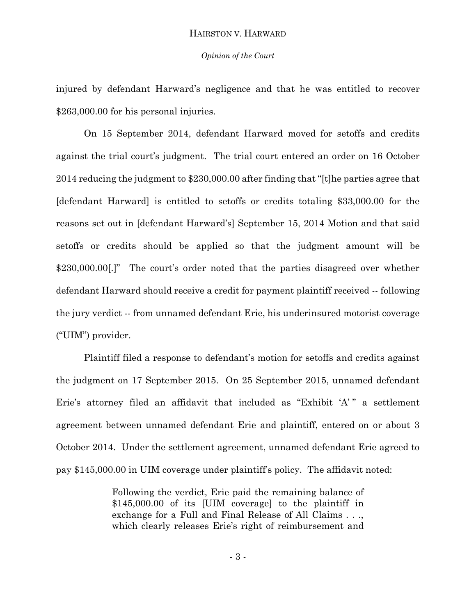#### *Opinion of the Court*

injured by defendant Harward's negligence and that he was entitled to recover \$263,000.00 for his personal injuries.

On 15 September 2014, defendant Harward moved for setoffs and credits against the trial court's judgment. The trial court entered an order on 16 October 2014 reducing the judgment to \$230,000.00 after finding that "[t]he parties agree that [defendant Harward] is entitled to setoffs or credits totaling \$33,000.00 for the reasons set out in [defendant Harward's] September 15, 2014 Motion and that said setoffs or credits should be applied so that the judgment amount will be \$230,000.00.]" The court's order noted that the parties disagreed over whether defendant Harward should receive a credit for payment plaintiff received -- following the jury verdict -- from unnamed defendant Erie, his underinsured motorist coverage ("UIM") provider.

Plaintiff filed a response to defendant's motion for setoffs and credits against the judgment on 17 September 2015. On 25 September 2015, unnamed defendant Erie's attorney filed an affidavit that included as "Exhibit 'A'" a settlement agreement between unnamed defendant Erie and plaintiff, entered on or about 3 October 2014. Under the settlement agreement, unnamed defendant Erie agreed to pay \$145,000.00 in UIM coverage under plaintiff's policy. The affidavit noted:

> Following the verdict, Erie paid the remaining balance of \$145,000.00 of its [UIM coverage] to the plaintiff in exchange for a Full and Final Release of All Claims . . ., which clearly releases Erie's right of reimbursement and

> > - 3 -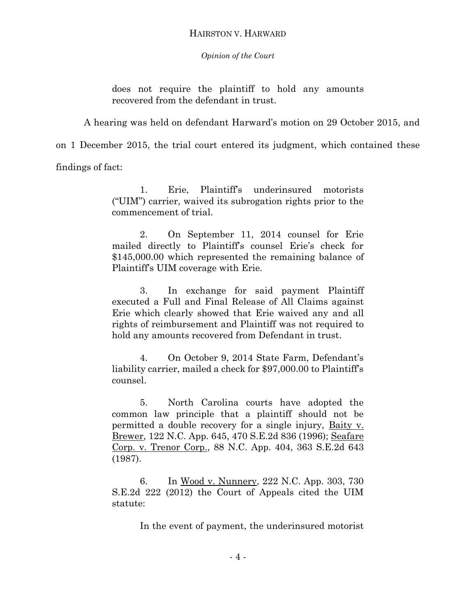*Opinion of the Court*

does not require the plaintiff to hold any amounts recovered from the defendant in trust.

A hearing was held on defendant Harward's motion on 29 October 2015, and

on 1 December 2015, the trial court entered its judgment, which contained these

findings of fact:

1. Erie, Plaintiff's underinsured motorists ("UIM") carrier, waived its subrogation rights prior to the commencement of trial.

2. On September 11, 2014 counsel for Erie mailed directly to Plaintiff's counsel Erie's check for \$145,000.00 which represented the remaining balance of Plaintiff's UIM coverage with Erie.

3. In exchange for said payment Plaintiff executed a Full and Final Release of All Claims against Erie which clearly showed that Erie waived any and all rights of reimbursement and Plaintiff was not required to hold any amounts recovered from Defendant in trust.

4. On October 9, 2014 State Farm, Defendant's liability carrier, mailed a check for \$97,000.00 to Plaintiff's counsel.

5. North Carolina courts have adopted the common law principle that a plaintiff should not be permitted a double recovery for a single injury, Baity v. Brewer, 122 N.C. App. 645, 470 S.E.2d 836 (1996); Seafare Corp. v. Trenor Corp., 88 N.C. App. 404, 363 S.E.2d 643 (1987).

6. In Wood v. Nunnery, 222 N.C. App. 303, 730 S.E.2d 222 (2012) the Court of Appeals cited the UIM statute:

In the event of payment, the underinsured motorist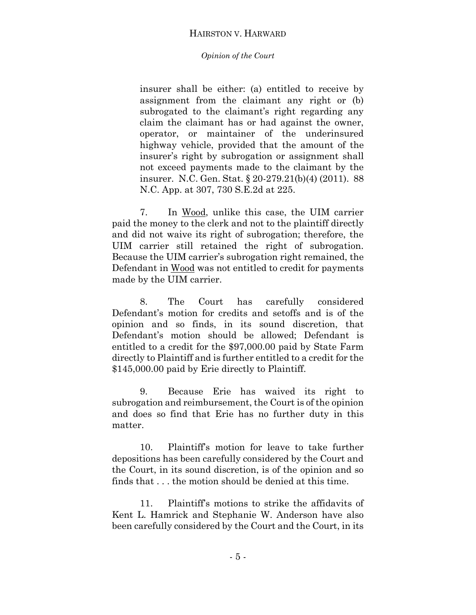## *Opinion of the Court*

insurer shall be either: (a) entitled to receive by assignment from the claimant any right or (b) subrogated to the claimant's right regarding any claim the claimant has or had against the owner, operator, or maintainer of the underinsured highway vehicle, provided that the amount of the insurer's right by subrogation or assignment shall not exceed payments made to the claimant by the insurer. N.C. Gen. Stat. § 20-279.21(b)(4) (2011). 88 N.C. App. at 307, 730 S.E.2d at 225.

7. In Wood, unlike this case, the UIM carrier paid the money to the clerk and not to the plaintiff directly and did not waive its right of subrogation; therefore, the UIM carrier still retained the right of subrogation. Because the UIM carrier's subrogation right remained, the Defendant in Wood was not entitled to credit for payments made by the UIM carrier.

8. The Court has carefully considered Defendant's motion for credits and setoffs and is of the opinion and so finds, in its sound discretion, that Defendant's motion should be allowed; Defendant is entitled to a credit for the \$97,000.00 paid by State Farm directly to Plaintiff and is further entitled to a credit for the \$145,000.00 paid by Erie directly to Plaintiff.

9. Because Erie has waived its right to subrogation and reimbursement, the Court is of the opinion and does so find that Erie has no further duty in this matter.

10. Plaintiff's motion for leave to take further depositions has been carefully considered by the Court and the Court, in its sound discretion, is of the opinion and so finds that . . . the motion should be denied at this time.

11. Plaintiff's motions to strike the affidavits of Kent L. Hamrick and Stephanie W. Anderson have also been carefully considered by the Court and the Court, in its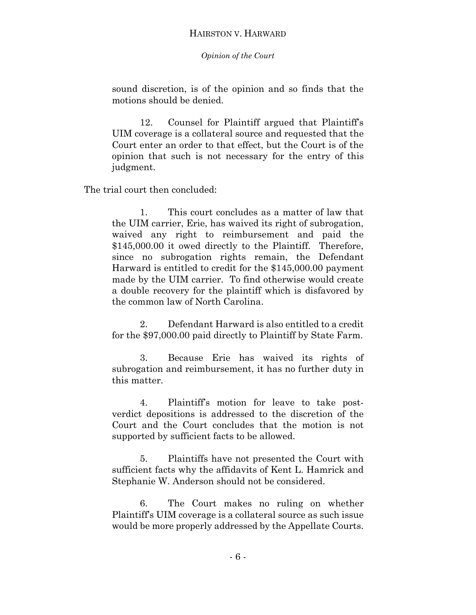*Opinion of the Court*

sound discretion, is of the opinion and so finds that the motions should be denied.

12. Counsel for Plaintiff argued that Plaintiff's UIM coverage is a collateral source and requested that the Court enter an order to that effect, but the Court is of the opinion that such is not necessary for the entry of this judgment.

The trial court then concluded:

1. This court concludes as a matter of law that the UIM carrier, Erie, has waived its right of subrogation, waived any right to reimbursement and paid the \$145,000.00 it owed directly to the Plaintiff. Therefore, since no subrogation rights remain, the Defendant Harward is entitled to credit for the \$145,000.00 payment made by the UIM carrier. To find otherwise would create a double recovery for the plaintiff which is disfavored by the common law of North Carolina.

2. Defendant Harward is also entitled to a credit for the \$97,000.00 paid directly to Plaintiff by State Farm.

3. Because Erie has waived its rights of subrogation and reimbursement, it has no further duty in this matter.

4. Plaintiff's motion for leave to take postverdict depositions is addressed to the discretion of the Court and the Court concludes that the motion is not supported by sufficient facts to be allowed.

5. Plaintiffs have not presented the Court with sufficient facts why the affidavits of Kent L. Hamrick and Stephanie W. Anderson should not be considered.

6. The Court makes no ruling on whether Plaintiff's UIM coverage is a collateral source as such issue would be more properly addressed by the Appellate Courts.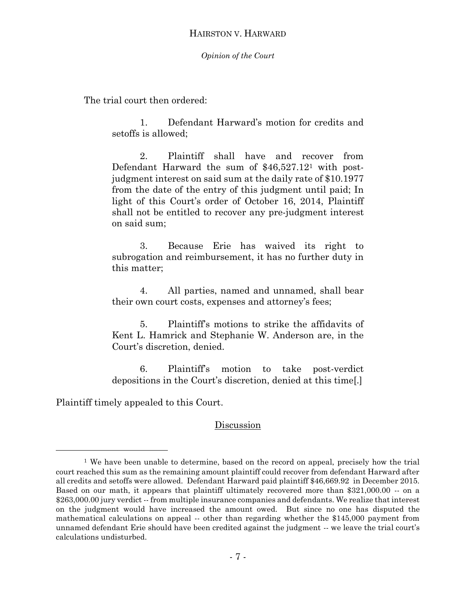## *Opinion of the Court*

The trial court then ordered:

1. Defendant Harward's motion for credits and setoffs is allowed;

2. Plaintiff shall have and recover from Defendant Harward the sum of \$46,527.12<sup>1</sup> with postjudgment interest on said sum at the daily rate of \$10.1977 from the date of the entry of this judgment until paid; In light of this Court's order of October 16, 2014, Plaintiff shall not be entitled to recover any pre-judgment interest on said sum;

3. Because Erie has waived its right to subrogation and reimbursement, it has no further duty in this matter;

4. All parties, named and unnamed, shall bear their own court costs, expenses and attorney's fees;

5. Plaintiff's motions to strike the affidavits of Kent L. Hamrick and Stephanie W. Anderson are, in the Court's discretion, denied.

6. Plaintiff's motion to take post-verdict depositions in the Court's discretion, denied at this time[.]

Plaintiff timely appealed to this Court.

 $\overline{a}$ 

## Discussion

<sup>&</sup>lt;sup>1</sup> We have been unable to determine, based on the record on appeal, precisely how the trial court reached this sum as the remaining amount plaintiff could recover from defendant Harward after all credits and setoffs were allowed. Defendant Harward paid plaintiff \$46,669.92 in December 2015. Based on our math, it appears that plaintiff ultimately recovered more than \$321,000.00 -- on a \$263,000.00 jury verdict -- from multiple insurance companies and defendants. We realize that interest on the judgment would have increased the amount owed. But since no one has disputed the mathematical calculations on appeal -- other than regarding whether the \$145,000 payment from unnamed defendant Erie should have been credited against the judgment -- we leave the trial court's calculations undisturbed.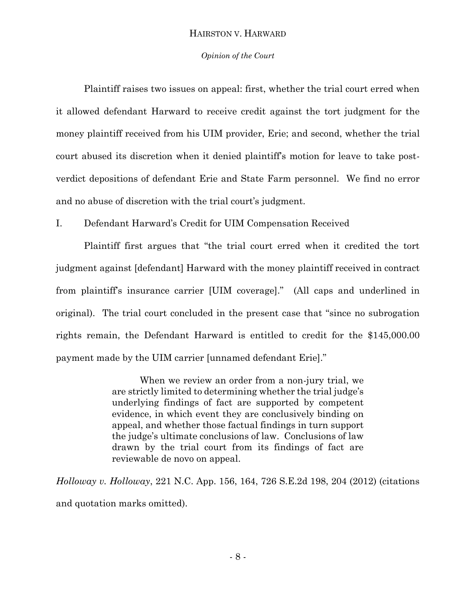## *Opinion of the Court*

Plaintiff raises two issues on appeal: first, whether the trial court erred when it allowed defendant Harward to receive credit against the tort judgment for the money plaintiff received from his UIM provider, Erie; and second, whether the trial court abused its discretion when it denied plaintiff's motion for leave to take postverdict depositions of defendant Erie and State Farm personnel. We find no error and no abuse of discretion with the trial court's judgment.

I. Defendant Harward's Credit for UIM Compensation Received

Plaintiff first argues that "the trial court erred when it credited the tort judgment against [defendant] Harward with the money plaintiff received in contract from plaintiff's insurance carrier [UIM coverage]." (All caps and underlined in original). The trial court concluded in the present case that "since no subrogation rights remain, the Defendant Harward is entitled to credit for the \$145,000.00 payment made by the UIM carrier [unnamed defendant Erie]."

> When we review an order from a non-jury trial, we are strictly limited to determining whether the trial judge's underlying findings of fact are supported by competent evidence, in which event they are conclusively binding on appeal, and whether those factual findings in turn support the judge's ultimate conclusions of law. Conclusions of law drawn by the trial court from its findings of fact are reviewable de novo on appeal.

*Holloway v. Holloway*, 221 N.C. App. 156, 164, 726 S.E.2d 198, 204 (2012) (citations and quotation marks omitted).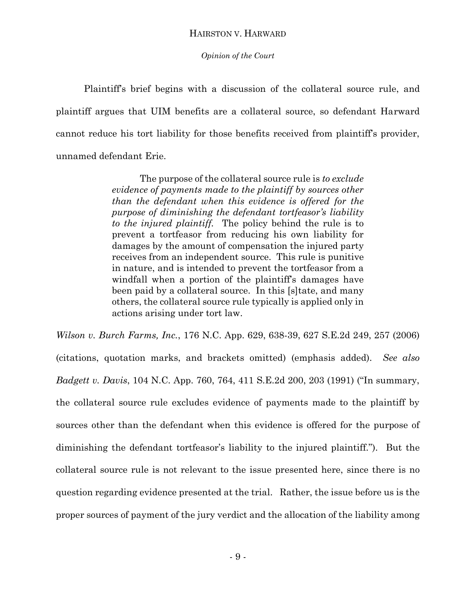#### *Opinion of the Court*

Plaintiff's brief begins with a discussion of the collateral source rule, and plaintiff argues that UIM benefits are a collateral source, so defendant Harward cannot reduce his tort liability for those benefits received from plaintiff's provider, unnamed defendant Erie.

> The purpose of the collateral source rule is *to exclude evidence of payments made to the plaintiff by sources other than the defendant when this evidence is offered for the purpose of diminishing the defendant tortfeasor's liability to the injured plaintiff.* The policy behind the rule is to prevent a tortfeasor from reducing his own liability for damages by the amount of compensation the injured party receives from an independent source. This rule is punitive in nature, and is intended to prevent the tortfeasor from a windfall when a portion of the plaintiff's damages have been paid by a collateral source. In this [s]tate, and many others, the collateral source rule typically is applied only in actions arising under tort law.

*Wilson v. Burch Farms, Inc.*, 176 N.C. App. 629, 638-39, 627 S.E.2d 249, 257 (2006) (citations, quotation marks, and brackets omitted) (emphasis added). *See also Badgett v. Davis*, 104 N.C. App. 760, 764, 411 S.E.2d 200, 203 (1991) ("In summary, the collateral source rule excludes evidence of payments made to the plaintiff by sources other than the defendant when this evidence is offered for the purpose of diminishing the defendant tortfeasor's liability to the injured plaintiff."). But the collateral source rule is not relevant to the issue presented here, since there is no question regarding evidence presented at the trial. Rather, the issue before us is the proper sources of payment of the jury verdict and the allocation of the liability among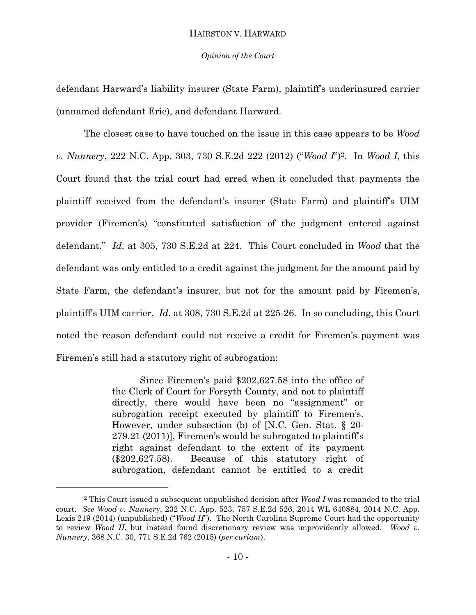#### *Opinion of the Court*

defendant Harward's liability insurer (State Farm), plaintiff's underinsured carrier (unnamed defendant Erie), and defendant Harward.

The closest case to have touched on the issue in this case appears to be *Wood v. Nunnery*, 222 N.C. App. 303, 730 S.E.2d 222 (2012) ("*Wood I*")2. In *Wood I*, this Court found that the trial court had erred when it concluded that payments the plaintiff received from the defendant's insurer (State Farm) and plaintiff's UIM provider (Firemen's) "constituted satisfaction of the judgment entered against defendant." *Id*. at 305, 730 S.E.2d at 224. This Court concluded in *Wood* that the defendant was only entitled to a credit against the judgment for the amount paid by State Farm, the defendant's insurer, but not for the amount paid by Firemen's, plaintiff's UIM carrier. *Id*. at 308, 730 S.E.2d at 225-26. In so concluding, this Court noted the reason defendant could not receive a credit for Firemen's payment was Firemen's still had a statutory right of subrogation:

> Since Firemen's paid \$202,627.58 into the office of the Clerk of Court for Forsyth County, and not to plaintiff directly, there would have been no "assignment" or subrogation receipt executed by plaintiff to Firemen's. However, under subsection (b) of [N.C. Gen. Stat. § 20- 279.21 (2011)], Firemen's would be subrogated to plaintiff's right against defendant to the extent of its payment (\$202,627.58). Because of this statutory right of subrogation, defendant cannot be entitled to a credit

 $\overline{a}$ 

<sup>2</sup> This Court issued a subsequent unpublished decision after *Wood I* was remanded to the trial court. *See Wood v. Nunnery*, 232 N.C. App. 523, 757 S.E.2d 526, 2014 WL 640884, 2014 N.C. App. Lexis 219 (2014) (unpublished) ("*Wood II*"). The North Carolina Supreme Court had the opportunity to review *Wood II*, but instead found discretionary review was improvidently allowed. *Wood v. Nunnery*, 368 N.C. 30, 771 S.E.2d 762 (2015) (*per curiam*).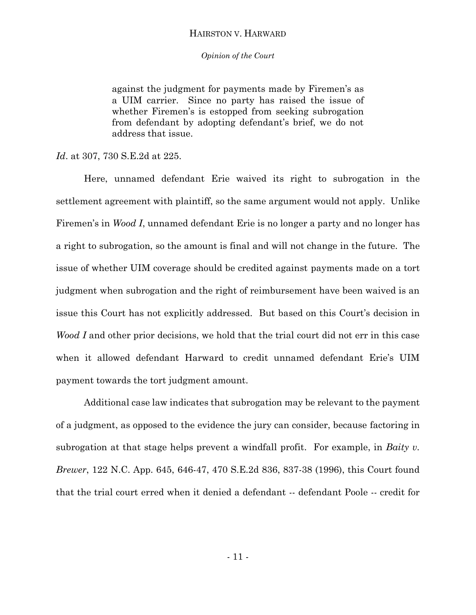*Opinion of the Court*

against the judgment for payments made by Firemen's as a UIM carrier. Since no party has raised the issue of whether Firemen's is estopped from seeking subrogation from defendant by adopting defendant's brief, we do not address that issue.

*Id*. at 307, 730 S.E.2d at 225.

Here, unnamed defendant Erie waived its right to subrogation in the settlement agreement with plaintiff, so the same argument would not apply. Unlike Firemen's in *Wood I*, unnamed defendant Erie is no longer a party and no longer has a right to subrogation, so the amount is final and will not change in the future. The issue of whether UIM coverage should be credited against payments made on a tort judgment when subrogation and the right of reimbursement have been waived is an issue this Court has not explicitly addressed. But based on this Court's decision in *Wood I* and other prior decisions, we hold that the trial court did not err in this case when it allowed defendant Harward to credit unnamed defendant Erie's UIM payment towards the tort judgment amount.

Additional case law indicates that subrogation may be relevant to the payment of a judgment, as opposed to the evidence the jury can consider, because factoring in subrogation at that stage helps prevent a windfall profit. For example, in *Baity v. Brewer*, 122 N.C. App. 645, 646-47, 470 S.E.2d 836, 837-38 (1996), this Court found that the trial court erred when it denied a defendant -- defendant Poole -- credit for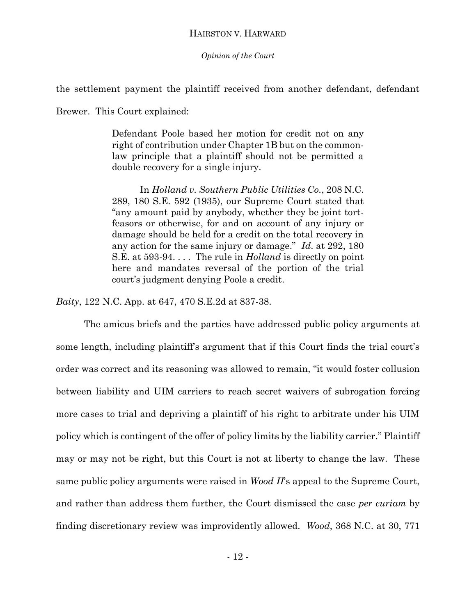*Opinion of the Court*

the settlement payment the plaintiff received from another defendant, defendant

Brewer. This Court explained:

Defendant Poole based her motion for credit not on any right of contribution under Chapter 1B but on the commonlaw principle that a plaintiff should not be permitted a double recovery for a single injury.

In *Holland v. Southern Public Utilities Co.*, 208 N.C. 289, 180 S.E. 592 (1935), our Supreme Court stated that "any amount paid by anybody, whether they be joint tortfeasors or otherwise, for and on account of any injury or damage should be held for a credit on the total recovery in any action for the same injury or damage." *Id*. at 292, 180 S.E. at 593-94. . . . The rule in *Holland* is directly on point here and mandates reversal of the portion of the trial court's judgment denying Poole a credit.

*Baity*, 122 N.C. App. at 647, 470 S.E.2d at 837-38.

The amicus briefs and the parties have addressed public policy arguments at some length, including plaintiff's argument that if this Court finds the trial court's order was correct and its reasoning was allowed to remain, "it would foster collusion between liability and UIM carriers to reach secret waivers of subrogation forcing more cases to trial and depriving a plaintiff of his right to arbitrate under his UIM policy which is contingent of the offer of policy limits by the liability carrier." Plaintiff may or may not be right, but this Court is not at liberty to change the law. These same public policy arguments were raised in *Wood II*'s appeal to the Supreme Court, and rather than address them further, the Court dismissed the case *per curiam* by finding discretionary review was improvidently allowed. *Wood*, 368 N.C. at 30, 771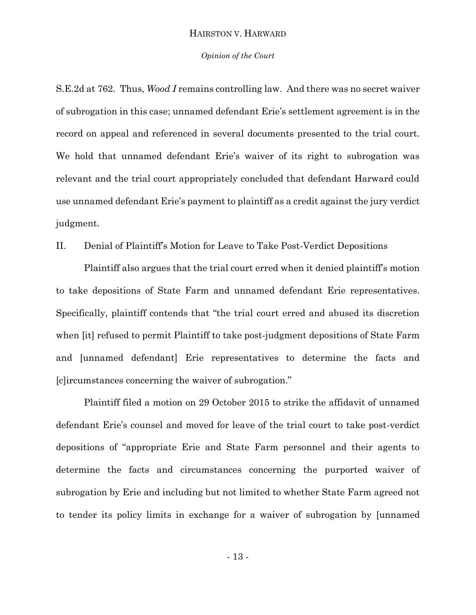#### *Opinion of the Court*

S.E.2d at 762. Thus, *Wood I* remains controlling law. And there was no secret waiver of subrogation in this case; unnamed defendant Erie's settlement agreement is in the record on appeal and referenced in several documents presented to the trial court. We hold that unnamed defendant Erie's waiver of its right to subrogation was relevant and the trial court appropriately concluded that defendant Harward could use unnamed defendant Erie's payment to plaintiff as a credit against the jury verdict judgment.

II. Denial of Plaintiff's Motion for Leave to Take Post-Verdict Depositions

Plaintiff also argues that the trial court erred when it denied plaintiff's motion to take depositions of State Farm and unnamed defendant Erie representatives. Specifically, plaintiff contends that "the trial court erred and abused its discretion when [it] refused to permit Plaintiff to take post-judgment depositions of State Farm and [unnamed defendant] Erie representatives to determine the facts and [c]ircumstances concerning the waiver of subrogation."

Plaintiff filed a motion on 29 October 2015 to strike the affidavit of unnamed defendant Erie's counsel and moved for leave of the trial court to take post-verdict depositions of "appropriate Erie and State Farm personnel and their agents to determine the facts and circumstances concerning the purported waiver of subrogation by Erie and including but not limited to whether State Farm agreed not to tender its policy limits in exchange for a waiver of subrogation by [unnamed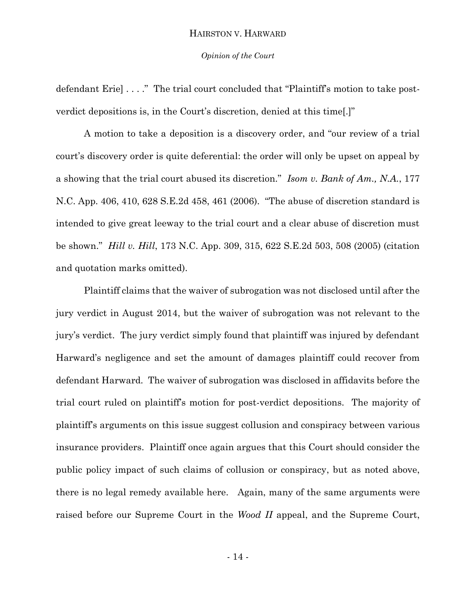#### *Opinion of the Court*

defendant Erie] . . . ." The trial court concluded that "Plaintiff's motion to take postverdict depositions is, in the Court's discretion, denied at this time[.]"

A motion to take a deposition is a discovery order, and "our review of a trial court's discovery order is quite deferential: the order will only be upset on appeal by a showing that the trial court abused its discretion." *Isom v. Bank of Am., N.A.*, 177 N.C. App. 406, 410, 628 S.E.2d 458, 461 (2006). "The abuse of discretion standard is intended to give great leeway to the trial court and a clear abuse of discretion must be shown." *Hill v. Hill*, 173 N.C. App. 309, 315, 622 S.E.2d 503, 508 (2005) (citation and quotation marks omitted).

Plaintiff claims that the waiver of subrogation was not disclosed until after the jury verdict in August 2014, but the waiver of subrogation was not relevant to the jury's verdict. The jury verdict simply found that plaintiff was injured by defendant Harward's negligence and set the amount of damages plaintiff could recover from defendant Harward. The waiver of subrogation was disclosed in affidavits before the trial court ruled on plaintiff's motion for post-verdict depositions. The majority of plaintiff's arguments on this issue suggest collusion and conspiracy between various insurance providers. Plaintiff once again argues that this Court should consider the public policy impact of such claims of collusion or conspiracy, but as noted above, there is no legal remedy available here. Again, many of the same arguments were raised before our Supreme Court in the *Wood II* appeal, and the Supreme Court,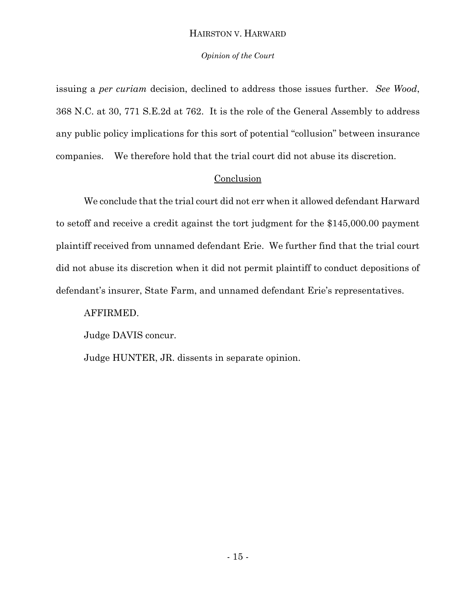## *Opinion of the Court*

issuing a *per curiam* decision, declined to address those issues further. *See Wood*, 368 N.C. at 30, 771 S.E.2d at 762. It is the role of the General Assembly to address any public policy implications for this sort of potential "collusion" between insurance companies. We therefore hold that the trial court did not abuse its discretion.

## **Conclusion**

We conclude that the trial court did not err when it allowed defendant Harward to setoff and receive a credit against the tort judgment for the \$145,000.00 payment plaintiff received from unnamed defendant Erie. We further find that the trial court did not abuse its discretion when it did not permit plaintiff to conduct depositions of defendant's insurer, State Farm, and unnamed defendant Erie's representatives.

## AFFIRMED.

Judge DAVIS concur.

Judge HUNTER, JR. dissents in separate opinion.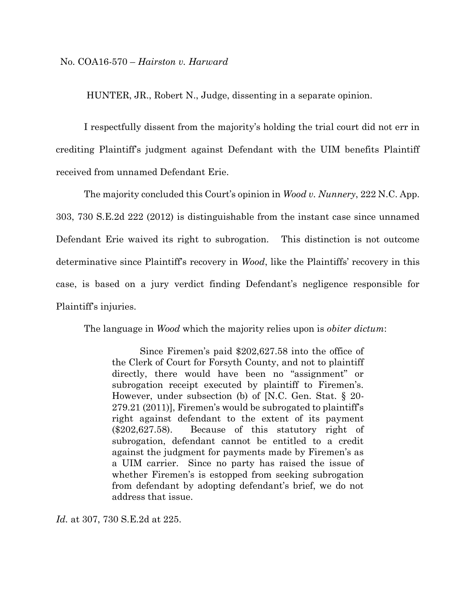HUNTER, JR., Robert N., Judge, dissenting in a separate opinion.

I respectfully dissent from the majority's holding the trial court did not err in crediting Plaintiff's judgment against Defendant with the UIM benefits Plaintiff received from unnamed Defendant Erie.

The majority concluded this Court's opinion in *Wood v. Nunnery*, 222 N.C. App. 303, 730 S.E.2d 222 (2012) is distinguishable from the instant case since unnamed Defendant Erie waived its right to subrogation. This distinction is not outcome determinative since Plaintiff's recovery in *Wood*, like the Plaintiffs' recovery in this case, is based on a jury verdict finding Defendant's negligence responsible for Plaintiff's injuries.

The language in *Wood* which the majority relies upon is *obiter dictum*:

Since Firemen's paid \$202,627.58 into the office of the Clerk of Court for Forsyth County, and not to plaintiff directly, there would have been no "assignment" or subrogation receipt executed by plaintiff to Firemen's. However, under subsection (b) of [N.C. Gen. Stat. § 20- 279.21 (2011)], Firemen's would be subrogated to plaintiff's right against defendant to the extent of its payment (\$202,627.58). Because of this statutory right of subrogation, defendant cannot be entitled to a credit against the judgment for payments made by Firemen's as a UIM carrier. Since no party has raised the issue of whether Firemen's is estopped from seeking subrogation from defendant by adopting defendant's brief, we do not address that issue.

*Id.* at 307, 730 S.E.2d at 225.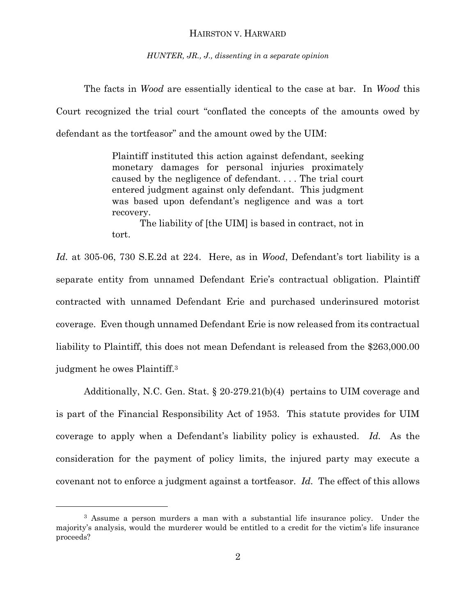*HUNTER, JR., J., dissenting in a separate opinion*

The facts in *Wood* are essentially identical to the case at bar. In *Wood* this Court recognized the trial court "conflated the concepts of the amounts owed by defendant as the tortfeasor" and the amount owed by the UIM:

> Plaintiff instituted this action against defendant, seeking monetary damages for personal injuries proximately caused by the negligence of defendant. . . . The trial court entered judgment against only defendant. This judgment was based upon defendant's negligence and was a tort recovery.

> The liability of [the UIM] is based in contract, not in tort.

*Id.* at 305-06, 730 S.E.2d at 224. Here, as in *Wood*, Defendant's tort liability is a separate entity from unnamed Defendant Erie's contractual obligation. Plaintiff contracted with unnamed Defendant Erie and purchased underinsured motorist coverage. Even though unnamed Defendant Erie is now released from its contractual liability to Plaintiff, this does not mean Defendant is released from the \$263,000.00 judgment he owes Plaintiff.<sup>3</sup>

Additionally, N.C. Gen. Stat. § 20-279.21(b)(4) pertains to UIM coverage and is part of the Financial Responsibility Act of 1953. This statute provides for UIM coverage to apply when a Defendant's liability policy is exhausted. *Id.* As the consideration for the payment of policy limits, the injured party may execute a covenant not to enforce a judgment against a tortfeasor. *Id.* The effect of this allows

l

<sup>&</sup>lt;sup>3</sup> Assume a person murders a man with a substantial life insurance policy. Under the majority's analysis, would the murderer would be entitled to a credit for the victim's life insurance proceeds?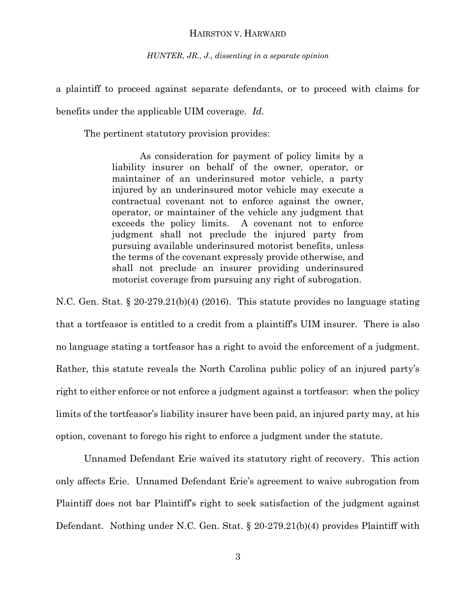*HUNTER, JR., J., dissenting in a separate opinion*

a plaintiff to proceed against separate defendants, or to proceed with claims for

benefits under the applicable UIM coverage. *Id.* 

The pertinent statutory provision provides:

As consideration for payment of policy limits by a liability insurer on behalf of the owner, operator, or maintainer of an underinsured motor vehicle, a party injured by an underinsured motor vehicle may execute a contractual covenant not to enforce against the owner, operator, or maintainer of the vehicle any judgment that exceeds the policy limits. A covenant not to enforce judgment shall not preclude the injured party from pursuing available underinsured motorist benefits, unless the terms of the covenant expressly provide otherwise, and shall not preclude an insurer providing underinsured motorist coverage from pursuing any right of subrogation.

N.C. Gen. Stat. § 20-279.21(b)(4) (2016). This statute provides no language stating that a tortfeasor is entitled to a credit from a plaintiff's UIM insurer. There is also no language stating a tortfeasor has a right to avoid the enforcement of a judgment. Rather, this statute reveals the North Carolina public policy of an injured party's right to either enforce or not enforce a judgment against a tortfeasor: when the policy limits of the tortfeasor's liability insurer have been paid, an injured party may, at his option, covenant to forego his right to enforce a judgment under the statute.

Unnamed Defendant Erie waived its statutory right of recovery. This action only affects Erie. Unnamed Defendant Erie's agreement to waive subrogation from Plaintiff does not bar Plaintiff's right to seek satisfaction of the judgment against Defendant. Nothing under N.C. Gen. Stat. § 20-279.21(b)(4) provides Plaintiff with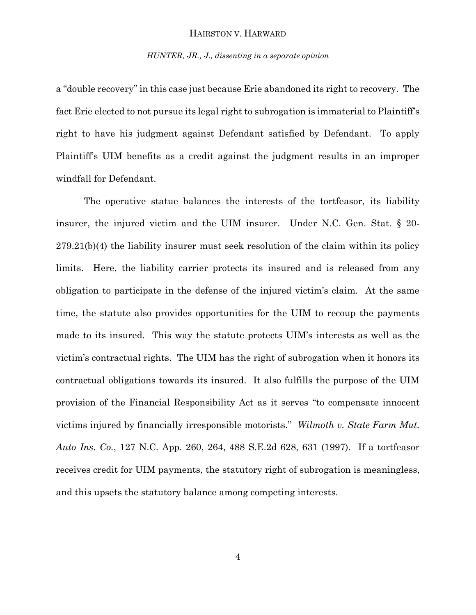#### *HUNTER, JR., J., dissenting in a separate opinion*

a "double recovery" in this case just because Erie abandoned its right to recovery. The fact Erie elected to not pursue its legal right to subrogation is immaterial to Plaintiff's right to have his judgment against Defendant satisfied by Defendant. To apply Plaintiff's UIM benefits as a credit against the judgment results in an improper windfall for Defendant.

The operative statue balances the interests of the tortfeasor, its liability insurer, the injured victim and the UIM insurer. Under N.C. Gen. Stat. § 20- 279.21(b)(4) the liability insurer must seek resolution of the claim within its policy limits. Here, the liability carrier protects its insured and is released from any obligation to participate in the defense of the injured victim's claim. At the same time, the statute also provides opportunities for the UIM to recoup the payments made to its insured. This way the statute protects UIM's interests as well as the victim's contractual rights. The UIM has the right of subrogation when it honors its contractual obligations towards its insured. It also fulfills the purpose of the UIM provision of the Financial Responsibility Act as it serves "to compensate innocent victims injured by financially irresponsible motorists." *Wilmoth v. State Farm Mut. Auto Ins. Co.*, 127 N.C. App. 260, 264, 488 S.E.2d 628, 631 (1997). If a tortfeasor receives credit for UIM payments, the statutory right of subrogation is meaningless, and this upsets the statutory balance among competing interests.